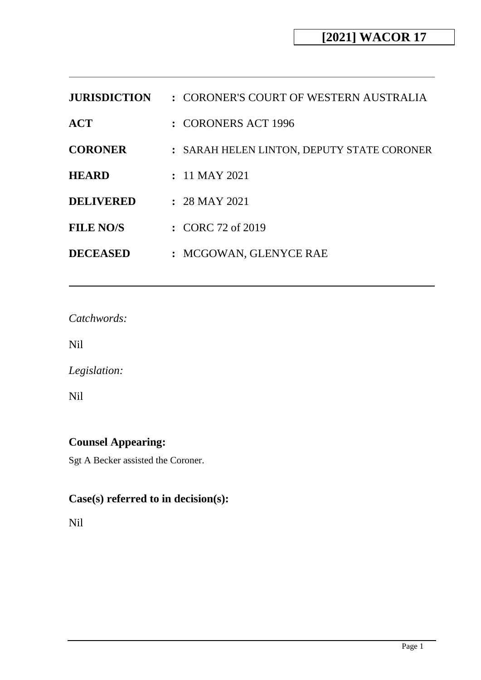| <b>JURISDICTION</b> | : CORONER'S COURT OF WESTERN AUSTRALIA     |
|---------------------|--------------------------------------------|
| <b>ACT</b>          | $:$ CORONERS ACT 1996                      |
| <b>CORONER</b>      | : SARAH HELEN LINTON, DEPUTY STATE CORONER |
| <b>HEARD</b>        | $: 11$ MAY 2021                            |
| <b>DELIVERED</b>    | $: 28$ MAY 2021                            |
| <b>FILE NO/S</b>    | $\therefore$ CORC 72 of 2019               |
| <b>DECEASED</b>     | : MCGOWAN, GLENYCE RAE                     |

*Catchwords:*

Nil

*Legislation:*

Nil

# **Counsel Appearing:**

Sgt A Becker assisted the Coroner.

# **Case(s) referred to in decision(s):**

Nil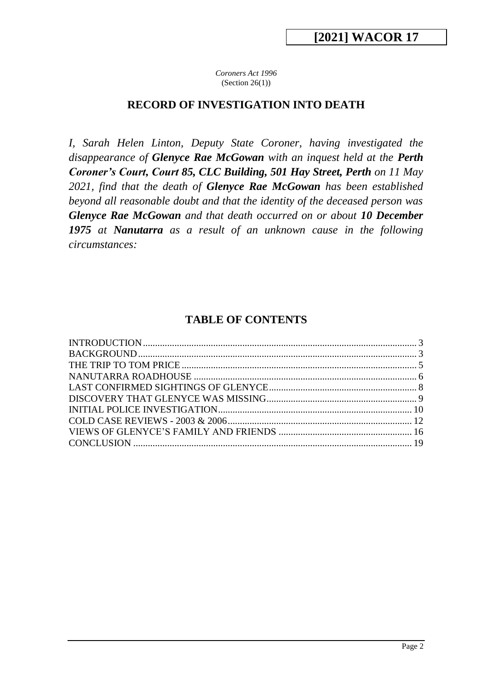*Coroners Act 1996*  $(Section 26(1))$ 

#### **RECORD OF INVESTIGATION INTO DEATH**

*I, Sarah Helen Linton, Deputy State Coroner, having investigated the disappearance of Glenyce Rae McGowan with an inquest held at the Perth Coroner's Court, Court 85, CLC Building, 501 Hay Street, Perth on 11 May 2021, find that the death of Glenyce Rae McGowan has been established beyond all reasonable doubt and that the identity of the deceased person was Glenyce Rae McGowan and that death occurred on or about 10 December 1975 at Nanutarra as a result of an unknown cause in the following circumstances:*

# **TABLE OF CONTENTS**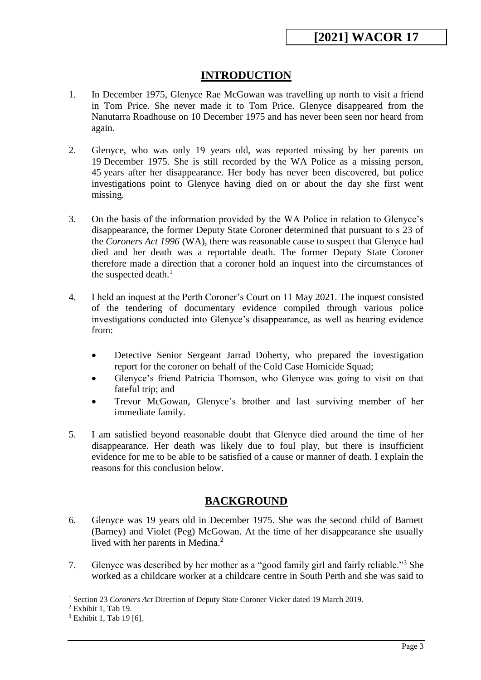# **INTRODUCTION**

- <span id="page-2-0"></span>1. In December 1975, Glenyce Rae McGowan was travelling up north to visit a friend in Tom Price. She never made it to Tom Price. Glenyce disappeared from the Nanutarra Roadhouse on 10 December 1975 and has never been seen nor heard from again.
- 2. Glenyce, who was only 19 years old, was reported missing by her parents on 19 December 1975. She is still recorded by the WA Police as a missing person, 45 years after her disappearance. Her body has never been discovered, but police investigations point to Glenyce having died on or about the day she first went missing.
- 3. On the basis of the information provided by the WA Police in relation to Glenyce's disappearance, the former Deputy State Coroner determined that pursuant to s 23 of the *Coroners Act 1996* (WA), there was reasonable cause to suspect that Glenyce had died and her death was a reportable death. The former Deputy State Coroner therefore made a direction that a coroner hold an inquest into the circumstances of the suspected death. $<sup>1</sup>$ </sup>
- 4. I held an inquest at the Perth Coroner's Court on 11 May 2021. The inquest consisted of the tendering of documentary evidence compiled through various police investigations conducted into Glenyce's disappearance, as well as hearing evidence from:
	- Detective Senior Sergeant Jarrad Doherty, who prepared the investigation report for the coroner on behalf of the Cold Case Homicide Squad;
	- Glenyce's friend Patricia Thomson, who Glenyce was going to visit on that fateful trip; and
	- Trevor McGowan, Glenyce's brother and last surviving member of her immediate family.
- 5. I am satisfied beyond reasonable doubt that Glenyce died around the time of her disappearance. Her death was likely due to foul play, but there is insufficient evidence for me to be able to be satisfied of a cause or manner of death. I explain the reasons for this conclusion below.

# **BACKGROUND**

- <span id="page-2-1"></span>6. Glenyce was 19 years old in December 1975. She was the second child of Barnett (Barney) and Violet (Peg) McGowan. At the time of her disappearance she usually lived with her parents in Medina.<sup>2</sup>
- 7. Glenyce was described by her mother as a "good family girl and fairly reliable."<sup>3</sup> She worked as a childcare worker at a childcare centre in South Perth and she was said to

<sup>&</sup>lt;u>.</u> <sup>1</sup> Section 23 *Coroners Act* Direction of Deputy State Coroner Vicker dated 19 March 2019.

<sup>2</sup> Exhibit 1, Tab 19.

<sup>&</sup>lt;sup>3</sup> Exhibit 1, Tab 19 [6].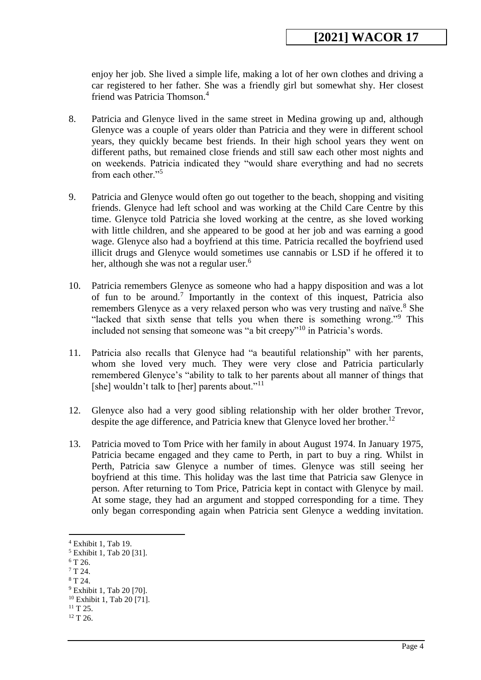enjoy her job. She lived a simple life, making a lot of her own clothes and driving a car registered to her father. She was a friendly girl but somewhat shy. Her closest friend was Patricia Thomson.<sup>4</sup>

- 8. Patricia and Glenyce lived in the same street in Medina growing up and, although Glenyce was a couple of years older than Patricia and they were in different school years, they quickly became best friends. In their high school years they went on different paths, but remained close friends and still saw each other most nights and on weekends. Patricia indicated they "would share everything and had no secrets from each other."<sup>5</sup>
- 9. Patricia and Glenyce would often go out together to the beach, shopping and visiting friends. Glenyce had left school and was working at the Child Care Centre by this time. Glenyce told Patricia she loved working at the centre, as she loved working with little children, and she appeared to be good at her job and was earning a good wage. Glenyce also had a boyfriend at this time. Patricia recalled the boyfriend used illicit drugs and Glenyce would sometimes use cannabis or LSD if he offered it to her, although she was not a regular user.<sup>6</sup>
- 10. Patricia remembers Glenyce as someone who had a happy disposition and was a lot of fun to be around.<sup>7</sup> Importantly in the context of this inquest, Patricia also remembers Glenyce as a very relaxed person who was very trusting and naïve.<sup>8</sup> She "lacked that sixth sense that tells you when there is something wrong."<sup>9</sup> This included not sensing that someone was "a bit creepy"<sup>10</sup> in Patricia's words.
- 11. Patricia also recalls that Glenyce had "a beautiful relationship" with her parents, whom she loved very much. They were very close and Patricia particularly remembered Glenyce's "ability to talk to her parents about all manner of things that [she] wouldn't talk to [her] parents about."<sup>11</sup>
- 12. Glenyce also had a very good sibling relationship with her older brother Trevor, despite the age difference, and Patricia knew that Glenyce loved her brother.<sup>12</sup>
- 13. Patricia moved to Tom Price with her family in about August 1974. In January 1975, Patricia became engaged and they came to Perth, in part to buy a ring. Whilst in Perth, Patricia saw Glenyce a number of times. Glenyce was still seeing her boyfriend at this time. This holiday was the last time that Patricia saw Glenyce in person. After returning to Tom Price, Patricia kept in contact with Glenyce by mail. At some stage, they had an argument and stopped corresponding for a time. They only began corresponding again when Patricia sent Glenyce a wedding invitation.

<sup>4</sup> Exhibit 1, Tab 19.

<sup>5</sup> Exhibit 1, Tab 20 [31].

 $6$  T 26.

 $7T24.$ 

 $8T24$ .

<sup>9</sup> Exhibit 1, Tab 20 [70].

<sup>10</sup> Exhibit 1, Tab 20 [71].

 $11$  T 25.

 $12$  T 26.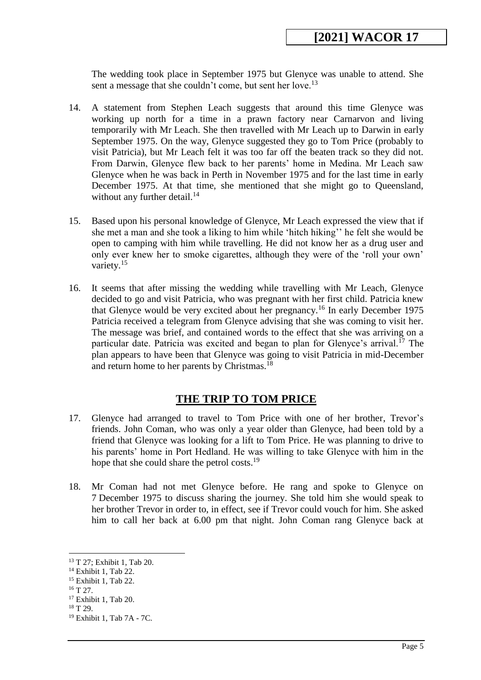The wedding took place in September 1975 but Glenyce was unable to attend. She sent a message that she couldn't come, but sent her love.<sup>13</sup>

- 14. A statement from Stephen Leach suggests that around this time Glenyce was working up north for a time in a prawn factory near Carnarvon and living temporarily with Mr Leach. She then travelled with Mr Leach up to Darwin in early September 1975. On the way, Glenyce suggested they go to Tom Price (probably to visit Patricia), but Mr Leach felt it was too far off the beaten track so they did not. From Darwin, Glenyce flew back to her parents' home in Medina. Mr Leach saw Glenyce when he was back in Perth in November 1975 and for the last time in early December 1975. At that time, she mentioned that she might go to Queensland, without any further detail.<sup>14</sup>
- 15. Based upon his personal knowledge of Glenyce, Mr Leach expressed the view that if she met a man and she took a liking to him while 'hitch hiking'' he felt she would be open to camping with him while travelling. He did not know her as a drug user and only ever knew her to smoke cigarettes, although they were of the 'roll your own' variety.<sup>15</sup>
- 16. It seems that after missing the wedding while travelling with Mr Leach, Glenyce decided to go and visit Patricia, who was pregnant with her first child. Patricia knew that Glenyce would be very excited about her pregnancy.<sup>16</sup> In early December 1975 Patricia received a telegram from Glenyce advising that she was coming to visit her. The message was brief, and contained words to the effect that she was arriving on a particular date. Patricia was excited and began to plan for Glenyce's arrival.<sup>17</sup> The plan appears to have been that Glenyce was going to visit Patricia in mid-December and return home to her parents by Christmas.<sup>18</sup>

#### **THE TRIP TO TOM PRICE**

- <span id="page-4-0"></span>17. Glenyce had arranged to travel to Tom Price with one of her brother, Trevor's friends. John Coman, who was only a year older than Glenyce, had been told by a friend that Glenyce was looking for a lift to Tom Price. He was planning to drive to his parents' home in Port Hedland. He was willing to take Glenyce with him in the hope that she could share the petrol costs.<sup>19</sup>
- 18. Mr Coman had not met Glenyce before. He rang and spoke to Glenyce on 7 December 1975 to discuss sharing the journey. She told him she would speak to her brother Trevor in order to, in effect, see if Trevor could vouch for him. She asked him to call her back at 6.00 pm that night. John Coman rang Glenyce back at

 $16$  T 27.

<sup>13</sup> T 27; Exhibit 1, Tab 20.

<sup>14</sup> Exhibit 1, Tab 22.

<sup>15</sup> Exhibit 1, Tab 22.

<sup>17</sup> Exhibit 1, Tab 20.

 $18$  T 29.

<sup>19</sup> Exhibit 1, Tab 7A - 7C.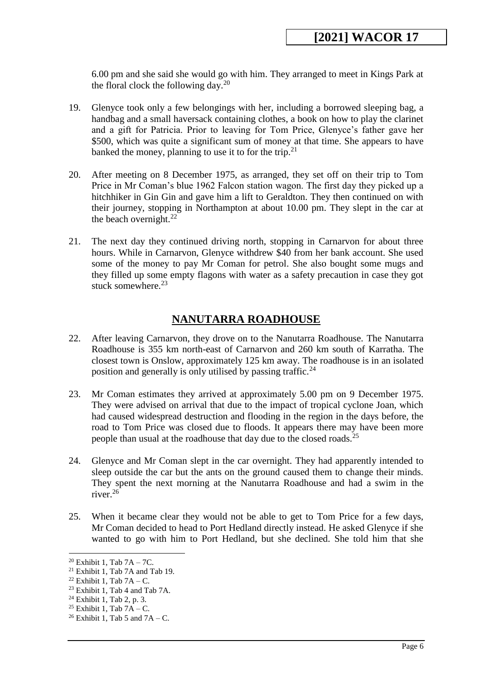6.00 pm and she said she would go with him. They arranged to meet in Kings Park at the floral clock the following day.<sup>20</sup>

- 19. Glenyce took only a few belongings with her, including a borrowed sleeping bag, a handbag and a small haversack containing clothes, a book on how to play the clarinet and a gift for Patricia. Prior to leaving for Tom Price, Glenyce's father gave her \$500, which was quite a significant sum of money at that time. She appears to have banked the money, planning to use it to for the trip.<sup>21</sup>
- 20. After meeting on 8 December 1975, as arranged, they set off on their trip to Tom Price in Mr Coman's blue 1962 Falcon station wagon. The first day they picked up a hitchhiker in Gin Gin and gave him a lift to Geraldton. They then continued on with their journey, stopping in Northampton at about 10.00 pm. They slept in the car at the beach overnight. $^{22}$
- 21. The next day they continued driving north, stopping in Carnarvon for about three hours. While in Carnarvon, Glenyce withdrew \$40 from her bank account. She used some of the money to pay Mr Coman for petrol. She also bought some mugs and they filled up some empty flagons with water as a safety precaution in case they got stuck somewhere.<sup>23</sup>

# **NANUTARRA ROADHOUSE**

- <span id="page-5-0"></span>22. After leaving Carnarvon, they drove on to the Nanutarra Roadhouse. The Nanutarra Roadhouse is 355 km north-east of Carnarvon and 260 km south of Karratha. The closest town is Onslow, approximately 125 km away. The roadhouse is in an isolated position and generally is only utilised by passing traffic.<sup>24</sup>
- 23. Mr Coman estimates they arrived at approximately 5.00 pm on 9 December 1975. They were advised on arrival that due to the impact of tropical cyclone Joan, which had caused widespread destruction and flooding in the region in the days before, the road to Tom Price was closed due to floods. It appears there may have been more people than usual at the roadhouse that day due to the closed roads.<sup>25</sup>
- 24. Glenyce and Mr Coman slept in the car overnight. They had apparently intended to sleep outside the car but the ants on the ground caused them to change their minds. They spent the next morning at the Nanutarra Roadhouse and had a swim in the river.<sup>26</sup>
- 25. When it became clear they would not be able to get to Tom Price for a few days, Mr Coman decided to head to Port Hedland directly instead. He asked Glenyce if she wanted to go with him to Port Hedland, but she declined. She told him that she

<sup>&</sup>lt;sup>20</sup> Exhibit 1, Tab  $7A - 7C$ .

<sup>21</sup> Exhibit 1, Tab 7A and Tab 19.

<sup>&</sup>lt;sup>22</sup> Exhibit 1, Tab  $7A - C$ .

<sup>23</sup> Exhibit 1, Tab 4 and Tab 7A.

 $24$  Exhibit 1, Tab 2, p. 3.

<sup>&</sup>lt;sup>25</sup> Exhibit 1, Tab  $7A - C$ .

<sup>&</sup>lt;sup>26</sup> Exhibit 1, Tab 5 and  $7A - C$ .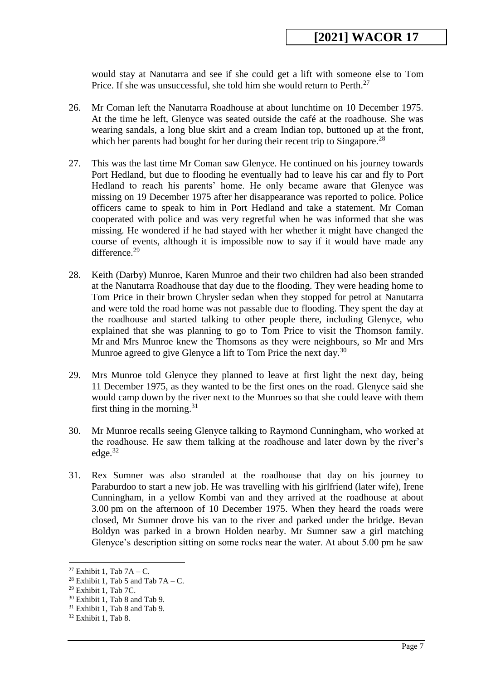would stay at Nanutarra and see if she could get a lift with someone else to Tom Price. If she was unsuccessful, she told him she would return to Perth.<sup>27</sup>

- 26. Mr Coman left the Nanutarra Roadhouse at about lunchtime on 10 December 1975. At the time he left, Glenyce was seated outside the café at the roadhouse. She was wearing sandals, a long blue skirt and a cream Indian top, buttoned up at the front, which her parents had bought for her during their recent trip to Singapore.<sup>28</sup>
- 27. This was the last time Mr Coman saw Glenyce. He continued on his journey towards Port Hedland, but due to flooding he eventually had to leave his car and fly to Port Hedland to reach his parents' home. He only became aware that Glenyce was missing on 19 December 1975 after her disappearance was reported to police. Police officers came to speak to him in Port Hedland and take a statement. Mr Coman cooperated with police and was very regretful when he was informed that she was missing. He wondered if he had stayed with her whether it might have changed the course of events, although it is impossible now to say if it would have made any difference.<sup>29</sup>
- 28. Keith (Darby) Munroe, Karen Munroe and their two children had also been stranded at the Nanutarra Roadhouse that day due to the flooding. They were heading home to Tom Price in their brown Chrysler sedan when they stopped for petrol at Nanutarra and were told the road home was not passable due to flooding. They spent the day at the roadhouse and started talking to other people there, including Glenyce, who explained that she was planning to go to Tom Price to visit the Thomson family. Mr and Mrs Munroe knew the Thomsons as they were neighbours, so Mr and Mrs Munroe agreed to give Glenyce a lift to Tom Price the next day.<sup>30</sup>
- 29. Mrs Munroe told Glenyce they planned to leave at first light the next day, being 11 December 1975, as they wanted to be the first ones on the road. Glenyce said she would camp down by the river next to the Munroes so that she could leave with them first thing in the morning. $31$
- 30. Mr Munroe recalls seeing Glenyce talking to Raymond Cunningham, who worked at the roadhouse. He saw them talking at the roadhouse and later down by the river's edge.<sup>32</sup>
- 31. Rex Sumner was also stranded at the roadhouse that day on his journey to Paraburdoo to start a new job. He was travelling with his girlfriend (later wife), Irene Cunningham, in a yellow Kombi van and they arrived at the roadhouse at about 3.00 pm on the afternoon of 10 December 1975. When they heard the roads were closed, Mr Sumner drove his van to the river and parked under the bridge. Bevan Boldyn was parked in a brown Holden nearby. Mr Sumner saw a girl matching Glenyce's description sitting on some rocks near the water. At about 5.00 pm he saw

<sup>&</sup>lt;sup>27</sup> Exhibit 1, Tab  $7A - C$ .

<sup>&</sup>lt;sup>28</sup> Exhibit 1, Tab 5 and Tab  $7A - C$ .

 $29$  Exhibit 1, Tab 7C.

<sup>30</sup> Exhibit 1, Tab 8 and Tab 9.

<sup>&</sup>lt;sup>31</sup> Exhibit 1, Tab 8 and Tab 9.

<sup>32</sup> Exhibit 1, Tab 8.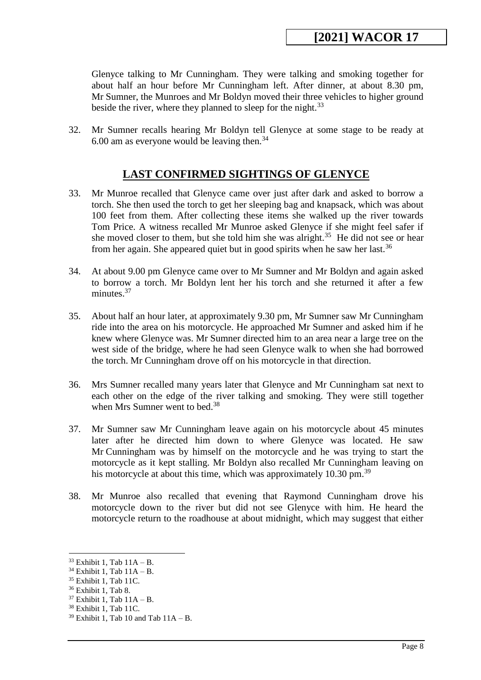Glenyce talking to Mr Cunningham. They were talking and smoking together for about half an hour before Mr Cunningham left. After dinner, at about 8.30 pm, Mr Sumner, the Munroes and Mr Boldyn moved their three vehicles to higher ground beside the river, where they planned to sleep for the night.<sup>33</sup>

32. Mr Sumner recalls hearing Mr Boldyn tell Glenyce at some stage to be ready at 6.00 am as everyone would be leaving then. $34$ 

#### **LAST CONFIRMED SIGHTINGS OF GLENYCE**

- <span id="page-7-0"></span>33. Mr Munroe recalled that Glenyce came over just after dark and asked to borrow a torch. She then used the torch to get her sleeping bag and knapsack, which was about 100 feet from them. After collecting these items she walked up the river towards Tom Price. A witness recalled Mr Munroe asked Glenyce if she might feel safer if she moved closer to them, but she told him she was alright.<sup>35</sup> He did not see or hear from her again. She appeared quiet but in good spirits when he saw her last.<sup>36</sup>
- 34. At about 9.00 pm Glenyce came over to Mr Sumner and Mr Boldyn and again asked to borrow a torch. Mr Boldyn lent her his torch and she returned it after a few minutes.<sup>37</sup>
- 35. About half an hour later, at approximately 9.30 pm, Mr Sumner saw Mr Cunningham ride into the area on his motorcycle. He approached Mr Sumner and asked him if he knew where Glenyce was. Mr Sumner directed him to an area near a large tree on the west side of the bridge, where he had seen Glenyce walk to when she had borrowed the torch. Mr Cunningham drove off on his motorcycle in that direction.
- 36. Mrs Sumner recalled many years later that Glenyce and Mr Cunningham sat next to each other on the edge of the river talking and smoking. They were still together when Mrs Sumner went to bed.<sup>38</sup>
- 37. Mr Sumner saw Mr Cunningham leave again on his motorcycle about 45 minutes later after he directed him down to where Glenyce was located. He saw Mr Cunningham was by himself on the motorcycle and he was trying to start the motorcycle as it kept stalling. Mr Boldyn also recalled Mr Cunningham leaving on his motorcycle at about this time, which was approximately  $10.30$  pm.<sup>39</sup>
- 38. Mr Munroe also recalled that evening that Raymond Cunningham drove his motorcycle down to the river but did not see Glenyce with him. He heard the motorcycle return to the roadhouse at about midnight, which may suggest that either

 $33$  Exhibit 1, Tab  $11A - B$ .

 $34$  Exhibit 1, Tab  $11A - B$ .

<sup>35</sup> Exhibit 1, Tab 11C.

<sup>36</sup> Exhibit 1, Tab 8.

 $37$  Exhibit 1, Tab  $11A - B$ .

<sup>&</sup>lt;sup>38</sup> Exhibit 1, Tab 11C.

 $39$  Exhibit 1, Tab 10 and Tab  $11A - B$ .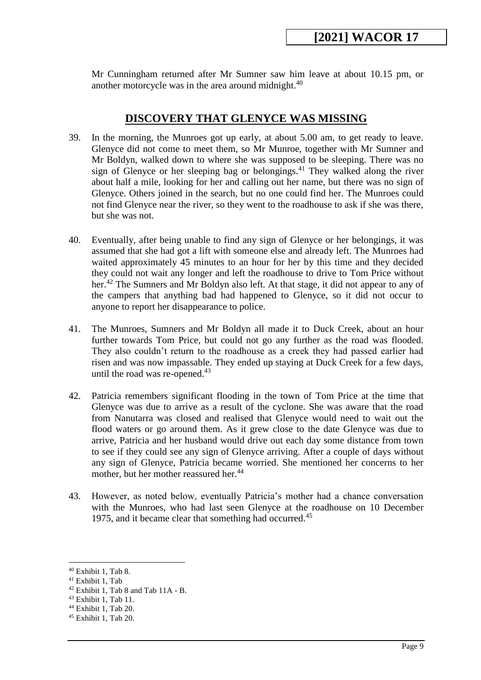Mr Cunningham returned after Mr Sumner saw him leave at about 10.15 pm, or another motorcycle was in the area around midnight.<sup>40</sup>

#### **DISCOVERY THAT GLENYCE WAS MISSING**

- <span id="page-8-0"></span>39. In the morning, the Munroes got up early, at about 5.00 am, to get ready to leave. Glenyce did not come to meet them, so Mr Munroe, together with Mr Sumner and Mr Boldyn, walked down to where she was supposed to be sleeping. There was no sign of Glenyce or her sleeping bag or belongings.<sup>41</sup> They walked along the river about half a mile, looking for her and calling out her name, but there was no sign of Glenyce. Others joined in the search, but no one could find her. The Munroes could not find Glenyce near the river, so they went to the roadhouse to ask if she was there, but she was not.
- 40. Eventually, after being unable to find any sign of Glenyce or her belongings, it was assumed that she had got a lift with someone else and already left. The Munroes had waited approximately 45 minutes to an hour for her by this time and they decided they could not wait any longer and left the roadhouse to drive to Tom Price without her.<sup>42</sup> The Sumners and Mr Boldyn also left. At that stage, it did not appear to any of the campers that anything bad had happened to Glenyce, so it did not occur to anyone to report her disappearance to police.
- 41. The Munroes, Sumners and Mr Boldyn all made it to Duck Creek, about an hour further towards Tom Price, but could not go any further as the road was flooded. They also couldn't return to the roadhouse as a creek they had passed earlier had risen and was now impassable. They ended up staying at Duck Creek for a few days, until the road was re-opened.<sup>43</sup>
- 42. Patricia remembers significant flooding in the town of Tom Price at the time that Glenyce was due to arrive as a result of the cyclone. She was aware that the road from Nanutarra was closed and realised that Glenyce would need to wait out the flood waters or go around them. As it grew close to the date Glenyce was due to arrive, Patricia and her husband would drive out each day some distance from town to see if they could see any sign of Glenyce arriving. After a couple of days without any sign of Glenyce, Patricia became worried. She mentioned her concerns to her mother, but her mother reassured her.<sup>44</sup>
- 43. However, as noted below, eventually Patricia's mother had a chance conversation with the Munroes, who had last seen Glenyce at the roadhouse on 10 December 1975, and it became clear that something had occurred.<sup>45</sup>

<sup>40</sup> Exhibit 1, Tab 8.

<sup>41</sup> Exhibit 1, Tab

 $42$  Exhibit 1, Tab 8 and Tab 11A - B.

<sup>43</sup> Exhibit 1, Tab 11.

<sup>44</sup> Exhibit 1, Tab 20.

<sup>45</sup> Exhibit 1, Tab 20.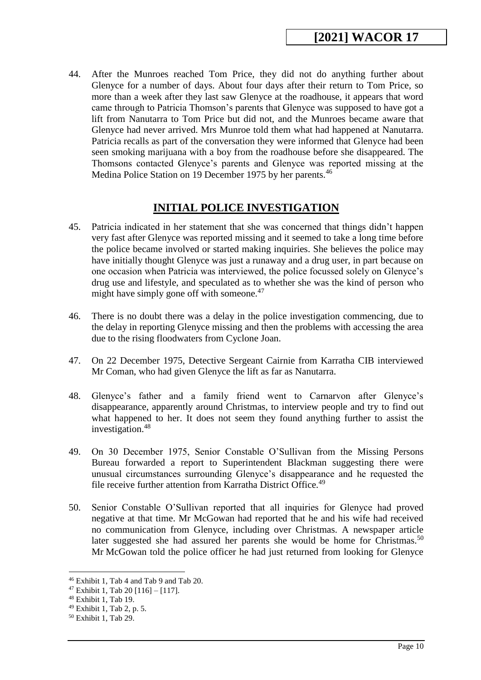44. After the Munroes reached Tom Price, they did not do anything further about Glenyce for a number of days. About four days after their return to Tom Price, so more than a week after they last saw Glenyce at the roadhouse, it appears that word came through to Patricia Thomson's parents that Glenyce was supposed to have got a lift from Nanutarra to Tom Price but did not, and the Munroes became aware that Glenyce had never arrived. Mrs Munroe told them what had happened at Nanutarra. Patricia recalls as part of the conversation they were informed that Glenyce had been seen smoking marijuana with a boy from the roadhouse before she disappeared. The Thomsons contacted Glenyce's parents and Glenyce was reported missing at the Medina Police Station on 19 December 1975 by her parents.<sup>46</sup>

# **INITIAL POLICE INVESTIGATION**

- <span id="page-9-0"></span>45. Patricia indicated in her statement that she was concerned that things didn't happen very fast after Glenyce was reported missing and it seemed to take a long time before the police became involved or started making inquiries. She believes the police may have initially thought Glenyce was just a runaway and a drug user, in part because on one occasion when Patricia was interviewed, the police focussed solely on Glenyce's drug use and lifestyle, and speculated as to whether she was the kind of person who might have simply gone off with someone. $47$
- 46. There is no doubt there was a delay in the police investigation commencing, due to the delay in reporting Glenyce missing and then the problems with accessing the area due to the rising floodwaters from Cyclone Joan.
- 47. On 22 December 1975, Detective Sergeant Cairnie from Karratha CIB interviewed Mr Coman, who had given Glenyce the lift as far as Nanutarra.
- 48. Glenyce's father and a family friend went to Carnarvon after Glenyce's disappearance, apparently around Christmas, to interview people and try to find out what happened to her. It does not seem they found anything further to assist the investigation.<sup>48</sup>
- 49. On 30 December 1975, Senior Constable O'Sullivan from the Missing Persons Bureau forwarded a report to Superintendent Blackman suggesting there were unusual circumstances surrounding Glenyce's disappearance and he requested the file receive further attention from Karratha District Office.<sup>49</sup>
- 50. Senior Constable O'Sullivan reported that all inquiries for Glenyce had proved negative at that time. Mr McGowan had reported that he and his wife had received no communication from Glenyce, including over Christmas. A newspaper article later suggested she had assured her parents she would be home for Christmas.<sup>50</sup> Mr McGowan told the police officer he had just returned from looking for Glenyce

<sup>46</sup> Exhibit 1, Tab 4 and Tab 9 and Tab 20.

 $47$  Exhibit 1, Tab 20 [116] – [117].

<sup>48</sup> Exhibit 1, Tab 19.

<sup>49</sup> Exhibit 1, Tab 2, p. 5.

<sup>50</sup> Exhibit 1, Tab 29.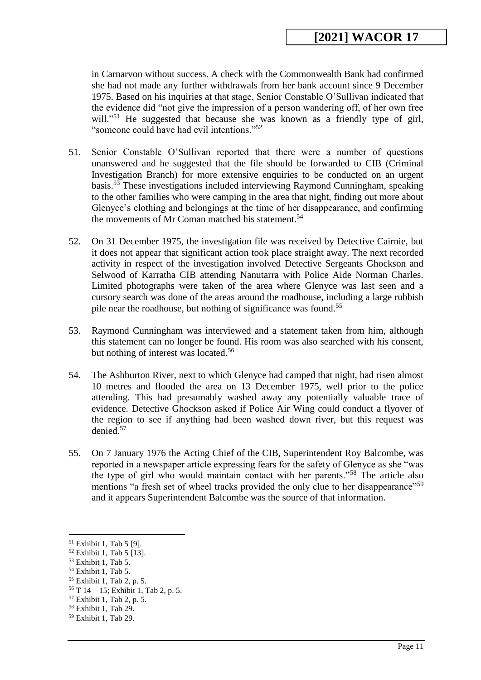in Carnarvon without success. A check with the Commonwealth Bank had confirmed she had not made any further withdrawals from her bank account since 9 December 1975. Based on his inquiries at that stage, Senior Constable O'Sullivan indicated that the evidence did "not give the impression of a person wandering off, of her own free will."<sup>51</sup> He suggested that because she was known as a friendly type of girl, "someone could have had evil intentions."<sup>52</sup>

- 51. Senior Constable O'Sullivan reported that there were a number of questions unanswered and he suggested that the file should be forwarded to CIB (Criminal Investigation Branch) for more extensive enquiries to be conducted on an urgent basis.<sup>53</sup> These investigations included interviewing Raymond Cunningham, speaking to the other families who were camping in the area that night, finding out more about Glenyce's clothing and belongings at the time of her disappearance, and confirming the movements of Mr Coman matched his statement.<sup>54</sup>
- 52. On 31 December 1975, the investigation file was received by Detective Cairnie, but it does not appear that significant action took place straight away. The next recorded activity in respect of the investigation involved Detective Sergeants Ghockson and Selwood of Karratha CIB attending Nanutarra with Police Aide Norman Charles. Limited photographs were taken of the area where Glenyce was last seen and a cursory search was done of the areas around the roadhouse, including a large rubbish pile near the roadhouse, but nothing of significance was found.<sup>55</sup>
- 53. Raymond Cunningham was interviewed and a statement taken from him, although this statement can no longer be found. His room was also searched with his consent, but nothing of interest was located.<sup>56</sup>
- 54. The Ashburton River, next to which Glenyce had camped that night, had risen almost 10 metres and flooded the area on 13 December 1975, well prior to the police attending. This had presumably washed away any potentially valuable trace of evidence. Detective Ghockson asked if Police Air Wing could conduct a flyover of the region to see if anything had been washed down river, but this request was denied.<sup>57</sup>
- 55. On 7 January 1976 the Acting Chief of the CIB, Superintendent Roy Balcombe, was reported in a newspaper article expressing fears for the safety of Glenyce as she "was the type of girl who would maintain contact with her parents."<sup>58</sup> The article also mentions "a fresh set of wheel tracks provided the only clue to her disappearance"<sup>59</sup> and it appears Superintendent Balcombe was the source of that information.

<sup>51</sup> Exhibit 1, Tab 5 [9].

<sup>52</sup> Exhibit 1, Tab 5 [13].

 $53$  Exhibit 1, Tab 5.

<sup>54</sup> Exhibit 1, Tab 5.

<sup>55</sup> Exhibit 1, Tab 2, p. 5.

 $56$  T 14 – 15; Exhibit 1, Tab 2, p. 5.

<sup>57</sup> Exhibit 1, Tab 2, p. 5.

<sup>58</sup> Exhibit 1, Tab 29.

<sup>59</sup> Exhibit 1, Tab 29.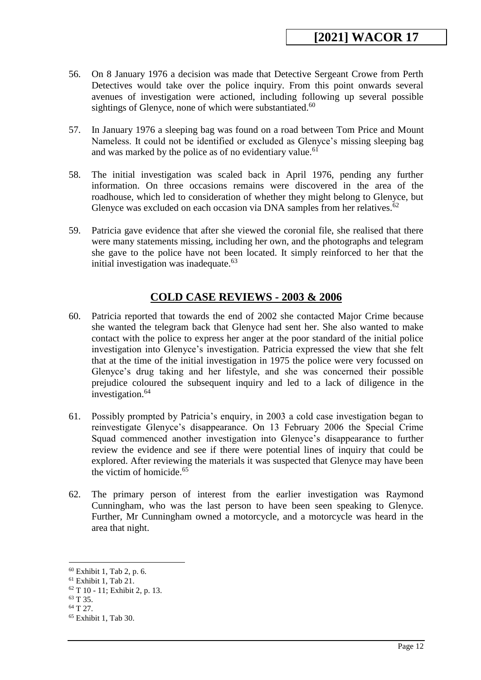- 56. On 8 January 1976 a decision was made that Detective Sergeant Crowe from Perth Detectives would take over the police inquiry. From this point onwards several avenues of investigation were actioned, including following up several possible sightings of Glenyce, none of which were substantiated.<sup>60</sup>
- 57. In January 1976 a sleeping bag was found on a road between Tom Price and Mount Nameless. It could not be identified or excluded as Glenyce's missing sleeping bag and was marked by the police as of no evidentiary value.<sup>61</sup>
- 58. The initial investigation was scaled back in April 1976, pending any further information. On three occasions remains were discovered in the area of the roadhouse, which led to consideration of whether they might belong to Glenyce, but Glenyce was excluded on each occasion via DNA samples from her relatives.<sup>62</sup>
- 59. Patricia gave evidence that after she viewed the coronial file, she realised that there were many statements missing, including her own, and the photographs and telegram she gave to the police have not been located. It simply reinforced to her that the initial investigation was inadequate. $63$

#### **COLD CASE REVIEWS - 2003 & 2006**

- <span id="page-11-0"></span>60. Patricia reported that towards the end of 2002 she contacted Major Crime because she wanted the telegram back that Glenyce had sent her. She also wanted to make contact with the police to express her anger at the poor standard of the initial police investigation into Glenyce's investigation. Patricia expressed the view that she felt that at the time of the initial investigation in 1975 the police were very focussed on Glenyce's drug taking and her lifestyle, and she was concerned their possible prejudice coloured the subsequent inquiry and led to a lack of diligence in the investigation.<sup>64</sup>
- 61. Possibly prompted by Patricia's enquiry, in 2003 a cold case investigation began to reinvestigate Glenyce's disappearance. On 13 February 2006 the Special Crime Squad commenced another investigation into Glenyce's disappearance to further review the evidence and see if there were potential lines of inquiry that could be explored. After reviewing the materials it was suspected that Glenyce may have been the victim of homicide.<sup>65</sup>
- 62. The primary person of interest from the earlier investigation was Raymond Cunningham, who was the last person to have been seen speaking to Glenyce. Further, Mr Cunningham owned a motorcycle, and a motorcycle was heard in the area that night.

<sup>60</sup> Exhibit 1, Tab 2, p. 6.

<sup>61</sup> Exhibit 1, Tab 21.

<sup>62</sup> T 10 - 11; Exhibit 2, p. 13.

<sup>63</sup> T 35.

<sup>64</sup> T 27.

<sup>65</sup> Exhibit 1, Tab 30.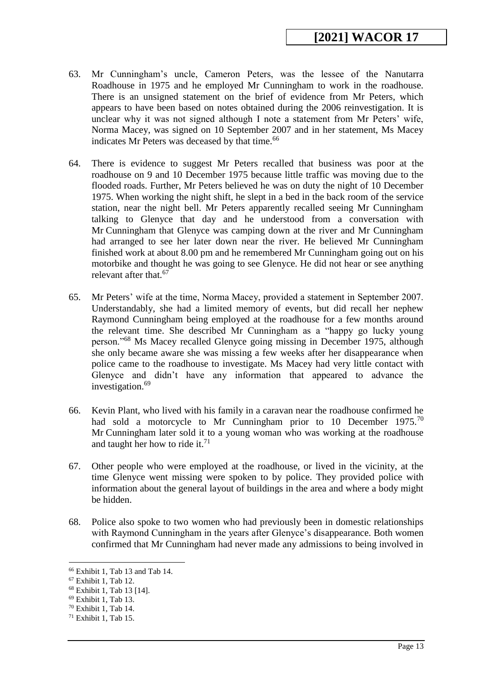- 63. Mr Cunningham's uncle, Cameron Peters, was the lessee of the Nanutarra Roadhouse in 1975 and he employed Mr Cunningham to work in the roadhouse. There is an unsigned statement on the brief of evidence from Mr Peters, which appears to have been based on notes obtained during the 2006 reinvestigation. It is unclear why it was not signed although I note a statement from Mr Peters' wife, Norma Macey, was signed on 10 September 2007 and in her statement, Ms Macey indicates Mr Peters was deceased by that time.<sup>66</sup>
- 64. There is evidence to suggest Mr Peters recalled that business was poor at the roadhouse on 9 and 10 December 1975 because little traffic was moving due to the flooded roads. Further, Mr Peters believed he was on duty the night of 10 December 1975. When working the night shift, he slept in a bed in the back room of the service station, near the night bell. Mr Peters apparently recalled seeing Mr Cunningham talking to Glenyce that day and he understood from a conversation with Mr Cunningham that Glenyce was camping down at the river and Mr Cunningham had arranged to see her later down near the river. He believed Mr Cunningham finished work at about 8.00 pm and he remembered Mr Cunningham going out on his motorbike and thought he was going to see Glenyce. He did not hear or see anything relevant after that.<sup>67</sup>
- 65. Mr Peters' wife at the time, Norma Macey, provided a statement in September 2007. Understandably, she had a limited memory of events, but did recall her nephew Raymond Cunningham being employed at the roadhouse for a few months around the relevant time. She described Mr Cunningham as a "happy go lucky young person."<sup>68</sup> Ms Macey recalled Glenyce going missing in December 1975, although she only became aware she was missing a few weeks after her disappearance when police came to the roadhouse to investigate. Ms Macey had very little contact with Glenyce and didn't have any information that appeared to advance the investigation.<sup>69</sup>
- 66. Kevin Plant, who lived with his family in a caravan near the roadhouse confirmed he had sold a motorcycle to Mr Cunningham prior to 10 December 1975.<sup>70</sup> Mr Cunningham later sold it to a young woman who was working at the roadhouse and taught her how to ride it.<sup>71</sup>
- 67. Other people who were employed at the roadhouse, or lived in the vicinity, at the time Glenyce went missing were spoken to by police. They provided police with information about the general layout of buildings in the area and where a body might be hidden.
- 68. Police also spoke to two women who had previously been in domestic relationships with Raymond Cunningham in the years after Glenyce's disappearance. Both women confirmed that Mr Cunningham had never made any admissions to being involved in

<sup>66</sup> Exhibit 1, Tab 13 and Tab 14.

<sup>67</sup> Exhibit 1, Tab 12.

<sup>68</sup> Exhibit 1, Tab 13 [14].

<sup>69</sup> Exhibit 1, Tab 13.

<sup>70</sup> Exhibit 1, Tab 14.

<sup>71</sup> Exhibit 1, Tab 15.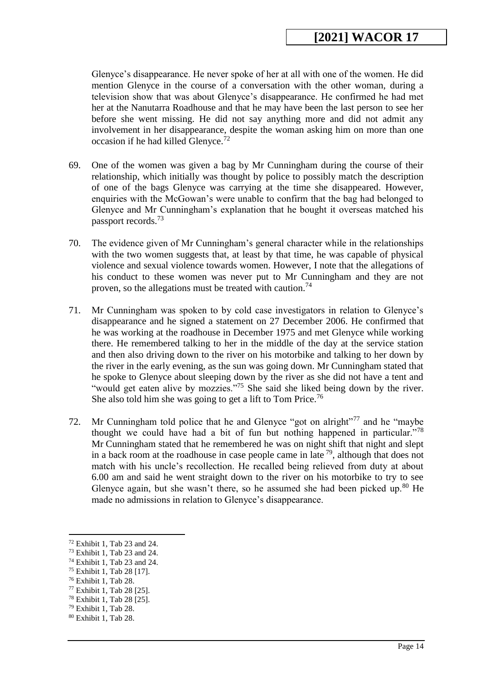Glenyce's disappearance. He never spoke of her at all with one of the women. He did mention Glenyce in the course of a conversation with the other woman, during a television show that was about Glenyce's disappearance. He confirmed he had met her at the Nanutarra Roadhouse and that he may have been the last person to see her before she went missing. He did not say anything more and did not admit any involvement in her disappearance, despite the woman asking him on more than one occasion if he had killed Glenyce.<sup>72</sup>

- 69. One of the women was given a bag by Mr Cunningham during the course of their relationship, which initially was thought by police to possibly match the description of one of the bags Glenyce was carrying at the time she disappeared. However, enquiries with the McGowan's were unable to confirm that the bag had belonged to Glenyce and Mr Cunningham's explanation that he bought it overseas matched his passport records.<sup>73</sup>
- 70. The evidence given of Mr Cunningham's general character while in the relationships with the two women suggests that, at least by that time, he was capable of physical violence and sexual violence towards women. However, I note that the allegations of his conduct to these women was never put to Mr Cunningham and they are not proven, so the allegations must be treated with caution.<sup>74</sup>
- 71. Mr Cunningham was spoken to by cold case investigators in relation to Glenyce's disappearance and he signed a statement on 27 December 2006. He confirmed that he was working at the roadhouse in December 1975 and met Glenyce while working there. He remembered talking to her in the middle of the day at the service station and then also driving down to the river on his motorbike and talking to her down by the river in the early evening, as the sun was going down. Mr Cunningham stated that he spoke to Glenyce about sleeping down by the river as she did not have a tent and "would get eaten alive by mozzies."<sup>75</sup> She said she liked being down by the river. She also told him she was going to get a lift to Tom Price.<sup>76</sup>
- 72. Mr Cunningham told police that he and Glenyce "got on alright"<sup>77</sup> and he "maybe" thought we could have had a bit of fun but nothing happened in particular."<sup>78</sup> Mr Cunningham stated that he remembered he was on night shift that night and slept in a back room at the roadhouse in case people came in late  $^{79}$ , although that does not match with his uncle's recollection. He recalled being relieved from duty at about 6.00 am and said he went straight down to the river on his motorbike to try to see Glenyce again, but she wasn't there, so he assumed she had been picked up.<sup>80</sup> He made no admissions in relation to Glenyce's disappearance.

 $72$  Exhibit 1, Tab 23 and 24.

<sup>73</sup> Exhibit 1, Tab 23 and 24.

<sup>74</sup> Exhibit 1, Tab 23 and 24.

<sup>75</sup> Exhibit 1, Tab 28 [17].

<sup>76</sup> Exhibit 1, Tab 28.

<sup>77</sup> Exhibit 1, Tab 28 [25].

<sup>78</sup> Exhibit 1, Tab 28 [25].

<sup>79</sup> Exhibit 1, Tab 28.

<sup>80</sup> Exhibit 1, Tab 28.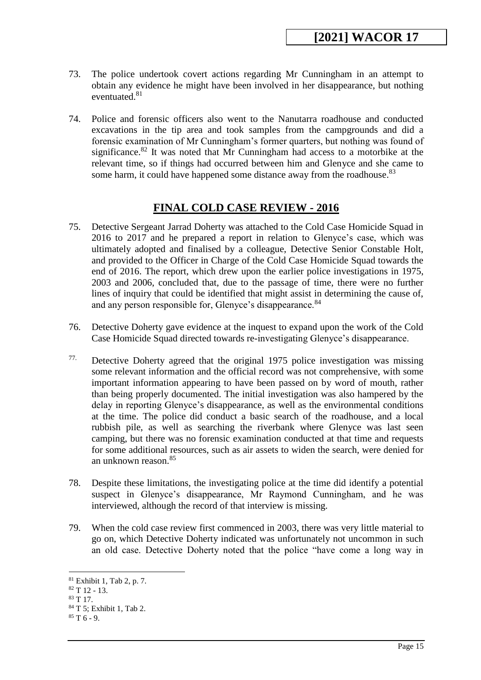- 73. The police undertook covert actions regarding Mr Cunningham in an attempt to obtain any evidence he might have been involved in her disappearance, but nothing eventuated.<sup>81</sup>
- 74. Police and forensic officers also went to the Nanutarra roadhouse and conducted excavations in the tip area and took samples from the campgrounds and did a forensic examination of Mr Cunningham's former quarters, but nothing was found of significance. $82$  It was noted that Mr Cunningham had access to a motorbike at the relevant time, so if things had occurred between him and Glenyce and she came to some harm, it could have happened some distance away from the roadhouse.<sup>83</sup>

# **FINAL COLD CASE REVIEW - 2016**

- 75. Detective Sergeant Jarrad Doherty was attached to the Cold Case Homicide Squad in 2016 to 2017 and he prepared a report in relation to Glenyce's case, which was ultimately adopted and finalised by a colleague, Detective Senior Constable Holt, and provided to the Officer in Charge of the Cold Case Homicide Squad towards the end of 2016. The report, which drew upon the earlier police investigations in 1975, 2003 and 2006, concluded that, due to the passage of time, there were no further lines of inquiry that could be identified that might assist in determining the cause of, and any person responsible for, Glenyce's disappearance.<sup>84</sup>
- 76. Detective Doherty gave evidence at the inquest to expand upon the work of the Cold Case Homicide Squad directed towards re-investigating Glenyce's disappearance.
- 77. Detective Doherty agreed that the original 1975 police investigation was missing some relevant information and the official record was not comprehensive, with some important information appearing to have been passed on by word of mouth, rather than being properly documented. The initial investigation was also hampered by the delay in reporting Glenyce's disappearance, as well as the environmental conditions at the time. The police did conduct a basic search of the roadhouse, and a local rubbish pile, as well as searching the riverbank where Glenyce was last seen camping, but there was no forensic examination conducted at that time and requests for some additional resources, such as air assets to widen the search, were denied for an unknown reason.<sup>85</sup>
- 78. Despite these limitations, the investigating police at the time did identify a potential suspect in Glenyce's disappearance, Mr Raymond Cunningham, and he was interviewed, although the record of that interview is missing.
- 79. When the cold case review first commenced in 2003, there was very little material to go on, which Detective Doherty indicated was unfortunately not uncommon in such an old case. Detective Doherty noted that the police "have come a long way in

<sup>81</sup> Exhibit 1, Tab 2, p. 7.

 $82$  T 12 - 13.

<sup>83</sup> T 17.

<sup>84</sup> T 5; Exhibit 1, Tab 2.

 $85 T 6 - 9.$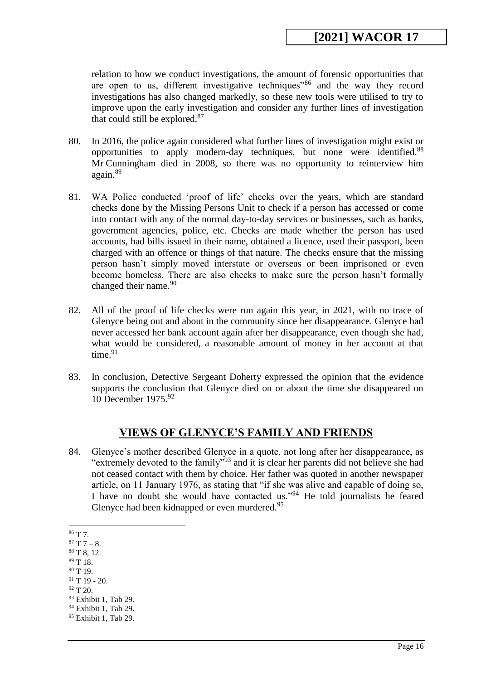relation to how we conduct investigations, the amount of forensic opportunities that are open to us, different investigative techniques<sup>386</sup> and the way they record investigations has also changed markedly, so these new tools were utilised to try to improve upon the early investigation and consider any further lines of investigation that could still be explored.<sup>87</sup>

- 80. In 2016, the police again considered what further lines of investigation might exist or opportunities to apply modern-day techniques, but none were identified.<sup>88</sup> Mr Cunningham died in 2008, so there was no opportunity to reinterview him again.<sup>89</sup>
- 81. WA Police conducted 'proof of life' checks over the years, which are standard checks done by the Missing Persons Unit to check if a person has accessed or come into contact with any of the normal day-to-day services or businesses, such as banks, government agencies, police, etc. Checks are made whether the person has used accounts, had bills issued in their name, obtained a licence, used their passport, been charged with an offence or things of that nature. The checks ensure that the missing person hasn't simply moved interstate or overseas or been imprisoned or even become homeless. There are also checks to make sure the person hasn't formally changed their name. $90$
- 82. All of the proof of life checks were run again this year, in 2021, with no trace of Glenyce being out and about in the community since her disappearance. Glenyce had never accessed her bank account again after her disappearance, even though she had, what would be considered, a reasonable amount of money in her account at that time. $91$
- 83. In conclusion, Detective Sergeant Doherty expressed the opinion that the evidence supports the conclusion that Glenyce died on or about the time she disappeared on 10 December 1975.<sup>92</sup>

#### **VIEWS OF GLENYCE'S FAMILY AND FRIENDS**

<span id="page-15-0"></span>84. Glenyce's mother described Glenyce in a quote, not long after her disappearance, as "extremely devoted to the family"<sup>93</sup> and it is clear her parents did not believe she had not ceased contact with them by choice. Her father was quoted in another newspaper article, on 11 January 1976, as stating that "if she was alive and capable of doing so, I have no doubt she would have contacted us."<sup>94</sup> He told journalists he feared Glenyce had been kidnapped or even murdered.<sup>95</sup>

- <sup>89</sup> T 18.
- $90$  T 19.

<sup>93</sup> Exhibit 1, Tab 29.

<sup>&</sup>lt;u>.</u> <sup>86</sup> T 7.

 $87 T 7 - 8.$ 

<sup>88</sup> T 8, 12.

 $91$  T 19 - 20.

 $92 \text{ T } 20.$ 

<sup>&</sup>lt;sup>94</sup> Exhibit 1, Tab 29.

<sup>95</sup> Exhibit 1, Tab 29.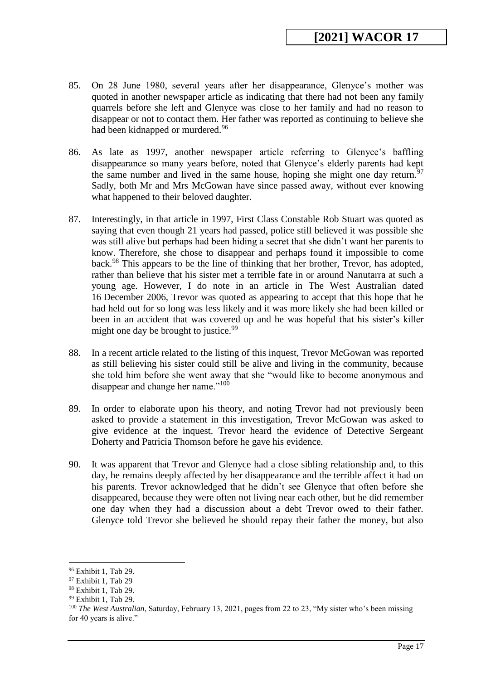- 85. On 28 June 1980, several years after her disappearance, Glenyce's mother was quoted in another newspaper article as indicating that there had not been any family quarrels before she left and Glenyce was close to her family and had no reason to disappear or not to contact them. Her father was reported as continuing to believe she had been kidnapped or murdered.<sup>96</sup>
- 86. As late as 1997, another newspaper article referring to Glenyce's baffling disappearance so many years before, noted that Glenyce's elderly parents had kept the same number and lived in the same house, hoping she might one day return.<sup>97</sup> Sadly, both Mr and Mrs McGowan have since passed away, without ever knowing what happened to their beloved daughter.
- 87. Interestingly, in that article in 1997, First Class Constable Rob Stuart was quoted as saying that even though 21 years had passed, police still believed it was possible she was still alive but perhaps had been hiding a secret that she didn't want her parents to know. Therefore, she chose to disappear and perhaps found it impossible to come back.<sup>98</sup> This appears to be the line of thinking that her brother, Trevor, has adopted, rather than believe that his sister met a terrible fate in or around Nanutarra at such a young age. However, I do note in an article in The West Australian dated 16 December 2006, Trevor was quoted as appearing to accept that this hope that he had held out for so long was less likely and it was more likely she had been killed or been in an accident that was covered up and he was hopeful that his sister's killer might one day be brought to justice.<sup>99</sup>
- 88. In a recent article related to the listing of this inquest, Trevor McGowan was reported as still believing his sister could still be alive and living in the community, because she told him before she went away that she "would like to become anonymous and disappear and change her name."<sup>100</sup>
- 89. In order to elaborate upon his theory, and noting Trevor had not previously been asked to provide a statement in this investigation, Trevor McGowan was asked to give evidence at the inquest. Trevor heard the evidence of Detective Sergeant Doherty and Patricia Thomson before he gave his evidence.
- 90. It was apparent that Trevor and Glenyce had a close sibling relationship and, to this day, he remains deeply affected by her disappearance and the terrible affect it had on his parents. Trevor acknowledged that he didn't see Glenyce that often before she disappeared, because they were often not living near each other, but he did remember one day when they had a discussion about a debt Trevor owed to their father. Glenyce told Trevor she believed he should repay their father the money, but also

<sup>96</sup> Exhibit 1, Tab 29.

<sup>97</sup> Exhibit 1, Tab 29

<sup>98</sup> Exhibit 1, Tab 29.

<sup>99</sup> Exhibit 1, Tab 29.

<sup>100</sup> *The West Australian*, Saturday, February 13, 2021, pages from 22 to 23, "My sister who's been missing for 40 years is alive."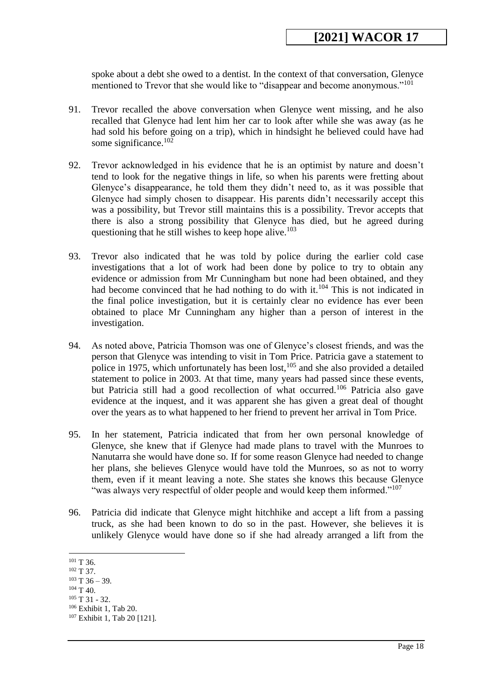spoke about a debt she owed to a dentist. In the context of that conversation, Glenyce mentioned to Trevor that she would like to "disappear and become anonymous."<sup>101</sup>

- 91. Trevor recalled the above conversation when Glenyce went missing, and he also recalled that Glenyce had lent him her car to look after while she was away (as he had sold his before going on a trip), which in hindsight he believed could have had some significance.<sup>102</sup>
- 92. Trevor acknowledged in his evidence that he is an optimist by nature and doesn't tend to look for the negative things in life, so when his parents were fretting about Glenyce's disappearance, he told them they didn't need to, as it was possible that Glenyce had simply chosen to disappear. His parents didn't necessarily accept this was a possibility, but Trevor still maintains this is a possibility. Trevor accepts that there is also a strong possibility that Glenyce has died, but he agreed during questioning that he still wishes to keep hope alive.<sup>103</sup>
- 93. Trevor also indicated that he was told by police during the earlier cold case investigations that a lot of work had been done by police to try to obtain any evidence or admission from Mr Cunningham but none had been obtained, and they had become convinced that he had nothing to do with it.<sup>104</sup> This is not indicated in the final police investigation, but it is certainly clear no evidence has ever been obtained to place Mr Cunningham any higher than a person of interest in the investigation.
- 94. As noted above, Patricia Thomson was one of Glenyce's closest friends, and was the person that Glenyce was intending to visit in Tom Price. Patricia gave a statement to police in 1975, which unfortunately has been lost, $105$  and she also provided a detailed statement to police in 2003. At that time, many years had passed since these events, but Patricia still had a good recollection of what occurred.<sup>106</sup> Patricia also gave evidence at the inquest, and it was apparent she has given a great deal of thought over the years as to what happened to her friend to prevent her arrival in Tom Price.
- 95. In her statement, Patricia indicated that from her own personal knowledge of Glenyce, she knew that if Glenyce had made plans to travel with the Munroes to Nanutarra she would have done so. If for some reason Glenyce had needed to change her plans, she believes Glenyce would have told the Munroes, so as not to worry them, even if it meant leaving a note. She states she knows this because Glenyce "was always very respectful of older people and would keep them informed."<sup>107</sup>
- 96. Patricia did indicate that Glenyce might hitchhike and accept a lift from a passing truck, as she had been known to do so in the past. However, she believes it is unlikely Glenyce would have done so if she had already arranged a lift from the

<sup>&</sup>lt;u>.</u> <sup>101</sup> T 36.

<sup>&</sup>lt;sup>102</sup> T 37.

 $103$  T 36 – 39.

 $104$  T 40.

<sup>105</sup> T 31 - 32.

<sup>106</sup> Exhibit 1, Tab 20.

<sup>107</sup> Exhibit 1, Tab 20 [121].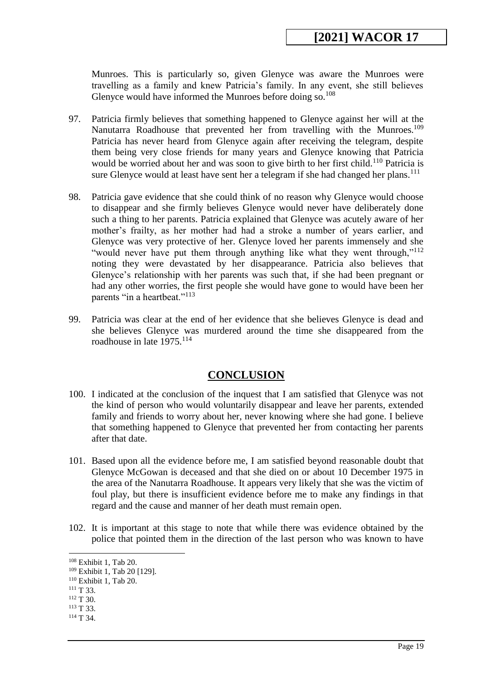Munroes. This is particularly so, given Glenyce was aware the Munroes were travelling as a family and knew Patricia's family. In any event, she still believes Glenyce would have informed the Munroes before doing so. $108$ 

- 97. Patricia firmly believes that something happened to Glenyce against her will at the Nanutarra Roadhouse that prevented her from travelling with the Munroes.<sup>109</sup> Patricia has never heard from Glenyce again after receiving the telegram, despite them being very close friends for many years and Glenyce knowing that Patricia would be worried about her and was soon to give birth to her first child.<sup>110</sup> Patricia is sure Glenyce would at least have sent her a telegram if she had changed her plans.<sup>111</sup>
- 98. Patricia gave evidence that she could think of no reason why Glenyce would choose to disappear and she firmly believes Glenyce would never have deliberately done such a thing to her parents. Patricia explained that Glenyce was acutely aware of her mother's frailty, as her mother had had a stroke a number of years earlier, and Glenyce was very protective of her. Glenyce loved her parents immensely and she "would never have put them through anything like what they went through,"<sup>112</sup> noting they were devastated by her disappearance. Patricia also believes that Glenyce's relationship with her parents was such that, if she had been pregnant or had any other worries, the first people she would have gone to would have been her parents "in a heartbeat."<sup>113</sup>
- 99. Patricia was clear at the end of her evidence that she believes Glenyce is dead and she believes Glenyce was murdered around the time she disappeared from the roadhouse in late  $1975$ <sup>114</sup>

#### **CONCLUSION**

- <span id="page-18-0"></span>100. I indicated at the conclusion of the inquest that I am satisfied that Glenyce was not the kind of person who would voluntarily disappear and leave her parents, extended family and friends to worry about her, never knowing where she had gone. I believe that something happened to Glenyce that prevented her from contacting her parents after that date.
- 101. Based upon all the evidence before me, I am satisfied beyond reasonable doubt that Glenyce McGowan is deceased and that she died on or about 10 December 1975 in the area of the Nanutarra Roadhouse. It appears very likely that she was the victim of foul play, but there is insufficient evidence before me to make any findings in that regard and the cause and manner of her death must remain open.
- 102. It is important at this stage to note that while there was evidence obtained by the police that pointed them in the direction of the last person who was known to have

<sup>108</sup> Exhibit 1, Tab 20.

<sup>109</sup> Exhibit 1, Tab 20 [129].

<sup>110</sup> Exhibit 1, Tab 20.

<sup>&</sup>lt;sup>111</sup> T 33.

 $112$  T 30.

<sup>&</sup>lt;sup>113</sup> T 33.

<sup>&</sup>lt;sup>114</sup> T 34.